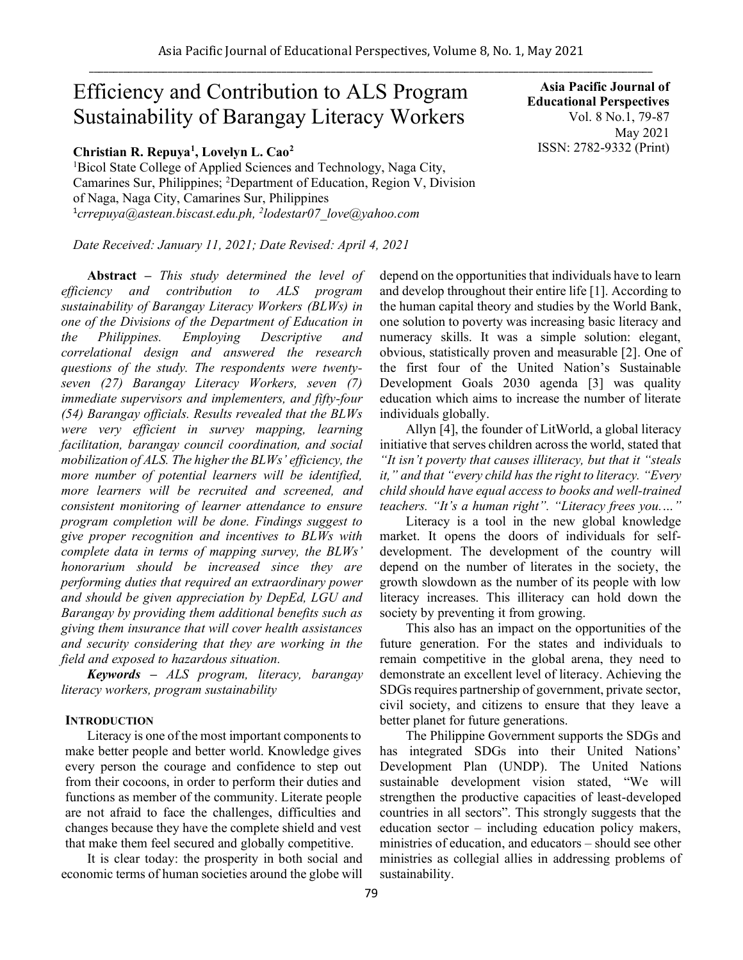# Efficiency and Contribution to ALS Program Sustainability of Barangay Literacy Workers

## **Christian R. Repuya<sup>1</sup> , Lovelyn L. Cao<sup>2</sup>**

<sup>1</sup>Bicol State College of Applied Sciences and Technology, Naga City, Camarines Sur, Philippines; <sup>2</sup>Department of Education, Region V, Division of Naga, Naga City, Camarines Sur, Philippines 1 *crrepuya@astean.biscast.edu.ph, <sup>2</sup> lodestar07\_love@yahoo.com*

*Date Received: January 11, 2021; Date Revised: April 4, 2021*

**Abstract** *– This study determined the level of efficiency and contribution to ALS program sustainability of Barangay Literacy Workers (BLWs) in one of the Divisions of the Department of Education in the Philippines. Employing Descriptive and correlational design and answered the research questions of the study. The respondents were twentyseven (27) Barangay Literacy Workers, seven (7) immediate supervisors and implementers, and fifty-four (54) Barangay officials. Results revealed that the BLWs were very efficient in survey mapping, learning facilitation, barangay council coordination, and social mobilization of ALS. The higher the BLWs' efficiency, the more number of potential learners will be identified, more learners will be recruited and screened, and consistent monitoring of learner attendance to ensure program completion will be done. Findings suggest to give proper recognition and incentives to BLWs with complete data in terms of mapping survey, the BLWs' honorarium should be increased since they are performing duties that required an extraordinary power and should be given appreciation by DepEd, LGU and Barangay by providing them additional benefits such as giving them insurance that will cover health assistances and security considering that they are working in the field and exposed to hazardous situation.*

*Keywords – ALS program, literacy, barangay literacy workers, program sustainability* 

#### **INTRODUCTION**

Literacy is one of the most important components to make better people and better world. Knowledge gives every person the courage and confidence to step out from their cocoons, in order to perform their duties and functions as member of the community. Literate people are not afraid to face the challenges, difficulties and changes because they have the complete shield and vest that make them feel secured and globally competitive.

It is clear today: the prosperity in both social and economic terms of human societies around the globe will

**Asia Pacific Journal of Educational Perspectives**  Vol. 8 No.1, 79-87 May 2021 ISSN: 2782-9332 (Print)

depend on the opportunities that individuals have to learn and develop throughout their entire life [1]. According to the human capital theory and studies by the World Bank, one solution to poverty was increasing basic literacy and numeracy skills. It was a simple solution: elegant, obvious, statistically proven and measurable [2]. One of the first four of the United Nation's Sustainable Development Goals 2030 agenda [3] was quality education which aims to increase the number of literate individuals globally.

Allyn [4], the founder of LitWorld, a global literacy initiative that serves children across the world, stated that *"It isn't poverty that causes illiteracy, but that it "steals it," and that "every child has the right to literacy. "Every child should have equal access to books and well-trained teachers. "It's a human right". "Literacy frees you.…"*

Literacy is a tool in the new global knowledge market. It opens the doors of individuals for selfdevelopment. The development of the country will depend on the number of literates in the society, the growth slowdown as the number of its people with low literacy increases. This illiteracy can hold down the society by preventing it from growing.

This also has an impact on the opportunities of the future generation. For the states and individuals to remain competitive in the global arena, they need to demonstrate an excellent level of literacy. Achieving the SDGs requires partnership of government, private sector, civil society, and citizens to ensure that they leave a better planet for future generations.

The Philippine Government supports the SDGs and has integrated SDGs into their United Nations' Development Plan (UNDP). The United Nations sustainable development vision stated, "We will strengthen the productive capacities of least-developed countries in all sectors". This strongly suggests that the education sector – including education policy makers, ministries of education, and educators – should see other ministries as collegial allies in addressing problems of sustainability.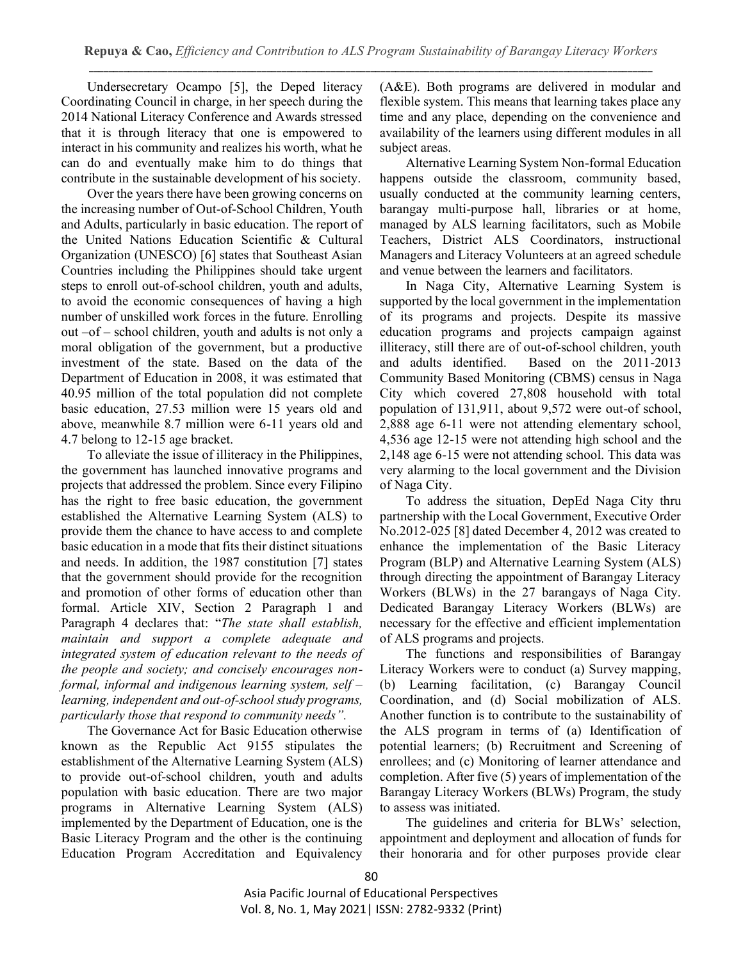Undersecretary Ocampo [5], the Deped literacy Coordinating Council in charge, in her speech during the 2014 National Literacy Conference and Awards stressed that it is through literacy that one is empowered to interact in his community and realizes his worth, what he can do and eventually make him to do things that contribute in the sustainable development of his society.

Over the years there have been growing concerns on the increasing number of Out-of-School Children, Youth and Adults, particularly in basic education. The report of the United Nations Education Scientific & Cultural Organization (UNESCO) [6] states that Southeast Asian Countries including the Philippines should take urgent steps to enroll out-of-school children, youth and adults, to avoid the economic consequences of having a high number of unskilled work forces in the future. Enrolling out –of – school children, youth and adults is not only a moral obligation of the government, but a productive investment of the state. Based on the data of the Department of Education in 2008, it was estimated that 40.95 million of the total population did not complete basic education, 27.53 million were 15 years old and above, meanwhile 8.7 million were 6-11 years old and 4.7 belong to 12-15 age bracket.

To alleviate the issue of illiteracy in the Philippines, the government has launched innovative programs and projects that addressed the problem. Since every Filipino has the right to free basic education, the government established the Alternative Learning System (ALS) to provide them the chance to have access to and complete basic education in a mode that fits their distinct situations and needs. In addition, the 1987 constitution [7] states that the government should provide for the recognition and promotion of other forms of education other than formal. Article XIV, Section 2 Paragraph 1 and Paragraph 4 declares that: "*The state shall establish, maintain and support a complete adequate and integrated system of education relevant to the needs of the people and society; and concisely encourages nonformal, informal and indigenous learning system, self – learning, independent and out-of-school study programs, particularly those that respond to community needs".* 

The Governance Act for Basic Education otherwise known as the Republic Act 9155 stipulates the establishment of the Alternative Learning System (ALS) to provide out-of-school children, youth and adults population with basic education. There are two major programs in Alternative Learning System (ALS) implemented by the Department of Education, one is the Basic Literacy Program and the other is the continuing Education Program Accreditation and Equivalency (A&E). Both programs are delivered in modular and flexible system. This means that learning takes place any time and any place, depending on the convenience and availability of the learners using different modules in all subject areas.

Alternative Learning System Non-formal Education happens outside the classroom, community based, usually conducted at the community learning centers, barangay multi-purpose hall, libraries or at home, managed by ALS learning facilitators, such as Mobile Teachers, District ALS Coordinators, instructional Managers and Literacy Volunteers at an agreed schedule and venue between the learners and facilitators.

In Naga City, Alternative Learning System is supported by the local government in the implementation of its programs and projects. Despite its massive education programs and projects campaign against illiteracy, still there are of out-of-school children, youth and adults identified. Based on the 2011-2013 Community Based Monitoring (CBMS) census in Naga City which covered 27,808 household with total population of 131,911, about 9,572 were out-of school, 2,888 age 6-11 were not attending elementary school, 4,536 age 12-15 were not attending high school and the 2,148 age 6-15 were not attending school. This data was very alarming to the local government and the Division of Naga City.

To address the situation, DepEd Naga City thru partnership with the Local Government, Executive Order No.2012-025 [8] dated December 4, 2012 was created to enhance the implementation of the Basic Literacy Program (BLP) and Alternative Learning System (ALS) through directing the appointment of Barangay Literacy Workers (BLWs) in the 27 barangays of Naga City. Dedicated Barangay Literacy Workers (BLWs) are necessary for the effective and efficient implementation of ALS programs and projects.

The functions and responsibilities of Barangay Literacy Workers were to conduct (a) Survey mapping, (b) Learning facilitation, (c) Barangay Council Coordination, and (d) Social mobilization of ALS. Another function is to contribute to the sustainability of the ALS program in terms of (a) Identification of potential learners; (b) Recruitment and Screening of enrollees; and (c) Monitoring of learner attendance and completion. After five (5) years of implementation of the Barangay Literacy Workers (BLWs) Program, the study to assess was initiated.

The guidelines and criteria for BLWs' selection, appointment and deployment and allocation of funds for their honoraria and for other purposes provide clear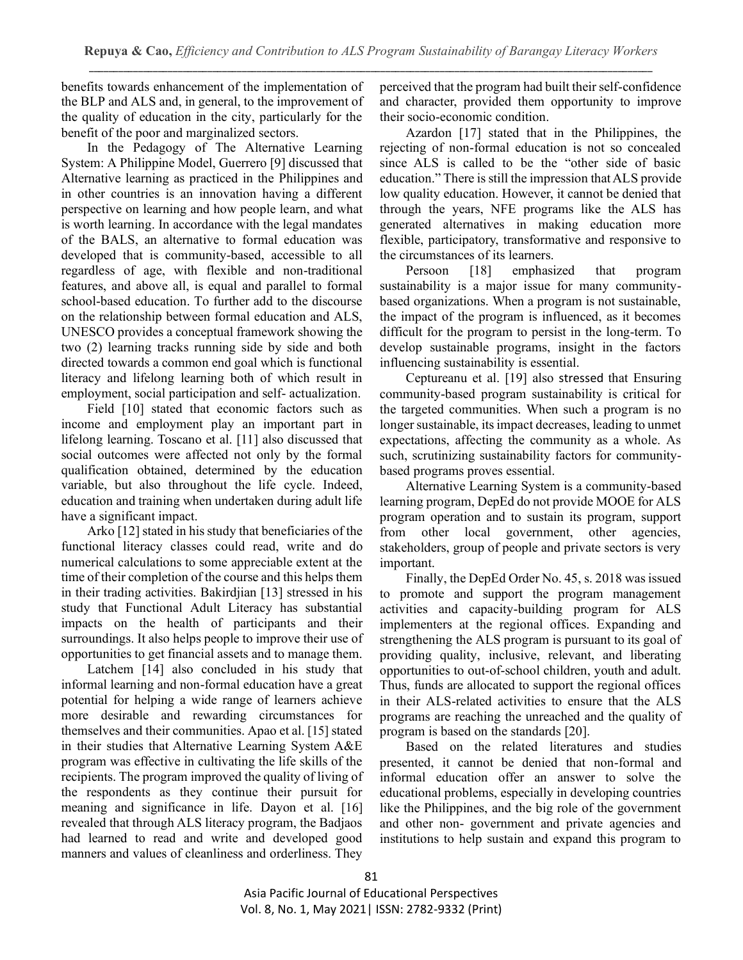benefits towards enhancement of the implementation of the BLP and ALS and, in general, to the improvement of the quality of education in the city, particularly for the benefit of the poor and marginalized sectors.

In the Pedagogy of The Alternative Learning System: A Philippine Model, Guerrero [9] discussed that Alternative learning as practiced in the Philippines and in other countries is an innovation having a different perspective on learning and how people learn, and what is worth learning. In accordance with the legal mandates of the BALS, an alternative to formal education was developed that is community-based, accessible to all regardless of age, with flexible and non-traditional features, and above all, is equal and parallel to formal school-based education. To further add to the discourse on the relationship between formal education and ALS, UNESCO provides a conceptual framework showing the two (2) learning tracks running side by side and both directed towards a common end goal which is functional literacy and lifelong learning both of which result in employment, social participation and self- actualization.

Field [10] stated that economic factors such as income and employment play an important part in lifelong learning. Toscano et al. [11] also discussed that social outcomes were affected not only by the formal qualification obtained, determined by the education variable, but also throughout the life cycle. Indeed, education and training when undertaken during adult life have a significant impact.

Arko [12] stated in his study that beneficiaries of the functional literacy classes could read, write and do numerical calculations to some appreciable extent at the time of their completion of the course and this helps them in their trading activities. Bakirdjian [13] stressed in his study that Functional Adult Literacy has substantial impacts on the health of participants and their surroundings. It also helps people to improve their use of opportunities to get financial assets and to manage them.

Latchem [14] also concluded in his study that informal learning and non-formal education have a great potential for helping a wide range of learners achieve more desirable and rewarding circumstances for themselves and their communities. Apao et al. [15] stated in their studies that Alternative Learning System A&E program was effective in cultivating the life skills of the recipients. The program improved the quality of living of the respondents as they continue their pursuit for meaning and significance in life. Dayon et al. [16] revealed that through ALS literacy program, the Badjaos had learned to read and write and developed good manners and values of cleanliness and orderliness. They

perceived that the program had built their self-confidence and character, provided them opportunity to improve their socio-economic condition.

Azardon [17] stated that in the Philippines, the rejecting of non-formal education is not so concealed since ALS is called to be the "other side of basic education." There is still the impression that ALS provide low quality education. However, it cannot be denied that through the years, NFE programs like the ALS has generated alternatives in making education more flexible, participatory, transformative and responsive to the circumstances of its learners.

Persoon [18] emphasized that program sustainability is a major issue for many communitybased organizations. When a program is not sustainable, the impact of the program is influenced, as it becomes difficult for the program to persist in the long-term. To develop sustainable programs, insight in the factors influencing sustainability is essential.

Ceptureanu et al. [19] also stressed that Ensuring community-based program sustainability is critical for the targeted communities. When such a program is no longer sustainable, its impact decreases, leading to unmet expectations, affecting the community as a whole. As such, scrutinizing sustainability factors for communitybased programs proves essential.

Alternative Learning System is a community-based learning program, DepEd do not provide MOOE for ALS program operation and to sustain its program, support from other local government, other agencies, stakeholders, group of people and private sectors is very important.

Finally, the DepEd Order No. 45, s. 2018 was issued to promote and support the program management activities and capacity-building program for ALS implementers at the regional offices. Expanding and strengthening the ALS program is pursuant to its goal of providing quality, inclusive, relevant, and liberating opportunities to out-of-school children, youth and adult. Thus, funds are allocated to support the regional offices in their ALS-related activities to ensure that the ALS programs are reaching the unreached and the quality of program is based on the standards [20].

Based on the related literatures and studies presented, it cannot be denied that non-formal and informal education offer an answer to solve the educational problems, especially in developing countries like the Philippines, and the big role of the government and other non- government and private agencies and institutions to help sustain and expand this program to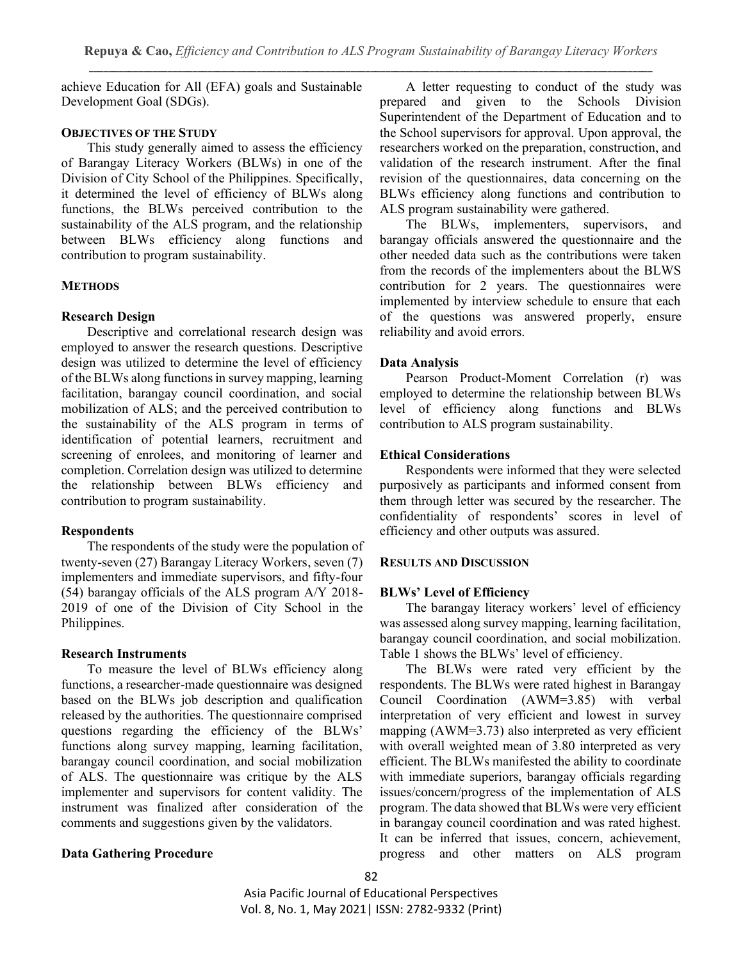achieve Education for All (EFA) goals and Sustainable Development Goal (SDGs).

# **OBJECTIVES OF THE STUDY**

This study generally aimed to assess the efficiency of Barangay Literacy Workers (BLWs) in one of the Division of City School of the Philippines. Specifically, it determined the level of efficiency of BLWs along functions, the BLWs perceived contribution to the sustainability of the ALS program, and the relationship between BLWs efficiency along functions and contribution to program sustainability.

## **METHODS**

## **Research Design**

Descriptive and correlational research design was employed to answer the research questions. Descriptive design was utilized to determine the level of efficiency of the BLWs along functions in survey mapping, learning facilitation, barangay council coordination, and social mobilization of ALS; and the perceived contribution to the sustainability of the ALS program in terms of identification of potential learners, recruitment and screening of enrolees, and monitoring of learner and completion. Correlation design was utilized to determine the relationship between BLWs efficiency and contribution to program sustainability.

# **Respondents**

The respondents of the study were the population of twenty-seven (27) Barangay Literacy Workers, seven (7) implementers and immediate supervisors, and fifty-four (54) barangay officials of the ALS program A/Y 2018- 2019 of one of the Division of City School in the Philippines.

# **Research Instruments**

To measure the level of BLWs efficiency along functions, a researcher-made questionnaire was designed based on the BLWs job description and qualification released by the authorities. The questionnaire comprised questions regarding the efficiency of the BLWs' functions along survey mapping, learning facilitation, barangay council coordination, and social mobilization of ALS. The questionnaire was critique by the ALS implementer and supervisors for content validity. The instrument was finalized after consideration of the comments and suggestions given by the validators.

# **Data Gathering Procedure**

A letter requesting to conduct of the study was prepared and given to the Schools Division Superintendent of the Department of Education and to the School supervisors for approval. Upon approval, the researchers worked on the preparation, construction, and validation of the research instrument. After the final revision of the questionnaires, data concerning on the BLWs efficiency along functions and contribution to ALS program sustainability were gathered.

The BLWs, implementers, supervisors, and barangay officials answered the questionnaire and the other needed data such as the contributions were taken from the records of the implementers about the BLWS contribution for 2 years. The questionnaires were implemented by interview schedule to ensure that each of the questions was answered properly, ensure reliability and avoid errors.

## **Data Analysis**

Pearson Product-Moment Correlation (r) was employed to determine the relationship between BLWs level of efficiency along functions and BLWs contribution to ALS program sustainability.

## **Ethical Considerations**

Respondents were informed that they were selected purposively as participants and informed consent from them through letter was secured by the researcher. The confidentiality of respondents' scores in level of efficiency and other outputs was assured.

#### **RESULTS AND DISCUSSION**

#### **BLWs' Level of Efficiency**

The barangay literacy workers' level of efficiency was assessed along survey mapping, learning facilitation, barangay council coordination, and social mobilization. Table 1 shows the BLWs' level of efficiency.

The BLWs were rated very efficient by the respondents. The BLWs were rated highest in Barangay Council Coordination (AWM=3.85) with verbal interpretation of very efficient and lowest in survey mapping (AWM=3.73) also interpreted as very efficient with overall weighted mean of 3.80 interpreted as very efficient. The BLWs manifested the ability to coordinate with immediate superiors, barangay officials regarding issues/concern/progress of the implementation of ALS program. The data showed that BLWs were very efficient in barangay council coordination and was rated highest. It can be inferred that issues, concern, achievement, progress and other matters on ALS program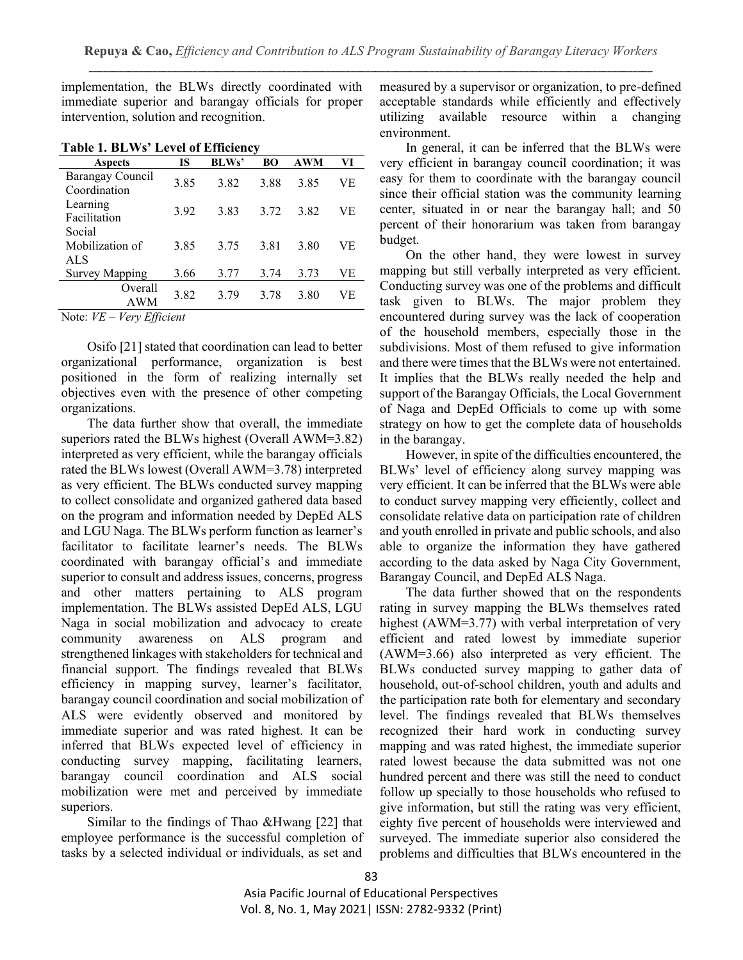implementation, the BLWs directly coordinated with immediate superior and barangay officials for proper intervention, solution and recognition.

| <b>Aspects</b>                               | <b>IS</b> | <b>BLWs'</b> | <b>BO</b> | <b>AWM</b> | VI |
|----------------------------------------------|-----------|--------------|-----------|------------|----|
| Barangay Council<br>Coordination             | 3.85      | 3.82         | 3.88      | 3.85       | VE |
| Learning<br>Facilitation                     | 3.92      | 3.83         | 3.72      | 3.82       | VЕ |
| Social<br>Mobilization of<br><b>ALS</b>      | 3.85      | 3.75         | 3.81      | 3.80       | VE |
| <b>Survey Mapping</b>                        | 3.66      | 3.77         | 3.74      | 3.73       | VЕ |
| Overall<br>AWM                               | 3.82      | 3.79         | 3.78      | 3.80       | VE |
| $Van,$ $Efficient$<br>$Noter \, \mathit{VF}$ |           |              |           |            |    |

**Table 1. BLWs' Level of Efficiency**

Note: *VE – Very Efficient*

Osifo [21] stated that coordination can lead to better organizational performance, organization is best positioned in the form of realizing internally set objectives even with the presence of other competing organizations.

The data further show that overall, the immediate superiors rated the BLWs highest (Overall AWM=3.82) interpreted as very efficient, while the barangay officials rated the BLWs lowest (Overall AWM=3.78) interpreted as very efficient. The BLWs conducted survey mapping to collect consolidate and organized gathered data based on the program and information needed by DepEd ALS and LGU Naga. The BLWs perform function as learner's facilitator to facilitate learner's needs. The BLWs coordinated with barangay official's and immediate superior to consult and address issues, concerns, progress and other matters pertaining to ALS program implementation. The BLWs assisted DepEd ALS, LGU Naga in social mobilization and advocacy to create community awareness on ALS program and strengthened linkages with stakeholders for technical and financial support. The findings revealed that BLWs efficiency in mapping survey, learner's facilitator, barangay council coordination and social mobilization of ALS were evidently observed and monitored by immediate superior and was rated highest. It can be inferred that BLWs expected level of efficiency in conducting survey mapping, facilitating learners, barangay council coordination and ALS social mobilization were met and perceived by immediate superiors.

Similar to the findings of Thao &Hwang [22] that employee performance is the successful completion of tasks by a selected individual or individuals, as set and

measured by a supervisor or organization, to pre-defined acceptable standards while efficiently and effectively utilizing available resource within a changing environment.

In general, it can be inferred that the BLWs were very efficient in barangay council coordination; it was easy for them to coordinate with the barangay council since their official station was the community learning center, situated in or near the barangay hall; and 50 percent of their honorarium was taken from barangay budget.

On the other hand, they were lowest in survey mapping but still verbally interpreted as very efficient. Conducting survey was one of the problems and difficult task given to BLWs. The major problem they encountered during survey was the lack of cooperation of the household members, especially those in the subdivisions. Most of them refused to give information and there were times that the BLWs were not entertained. It implies that the BLWs really needed the help and support of the Barangay Officials, the Local Government of Naga and DepEd Officials to come up with some strategy on how to get the complete data of households in the barangay.

However, in spite of the difficulties encountered, the BLWs' level of efficiency along survey mapping was very efficient. It can be inferred that the BLWs were able to conduct survey mapping very efficiently, collect and consolidate relative data on participation rate of children and youth enrolled in private and public schools, and also able to organize the information they have gathered according to the data asked by Naga City Government, Barangay Council, and DepEd ALS Naga.

The data further showed that on the respondents rating in survey mapping the BLWs themselves rated highest (AWM=3.77) with verbal interpretation of very efficient and rated lowest by immediate superior (AWM=3.66) also interpreted as very efficient. The BLWs conducted survey mapping to gather data of household, out-of-school children, youth and adults and the participation rate both for elementary and secondary level. The findings revealed that BLWs themselves recognized their hard work in conducting survey mapping and was rated highest, the immediate superior rated lowest because the data submitted was not one hundred percent and there was still the need to conduct follow up specially to those households who refused to give information, but still the rating was very efficient, eighty five percent of households were interviewed and surveyed. The immediate superior also considered the problems and difficulties that BLWs encountered in the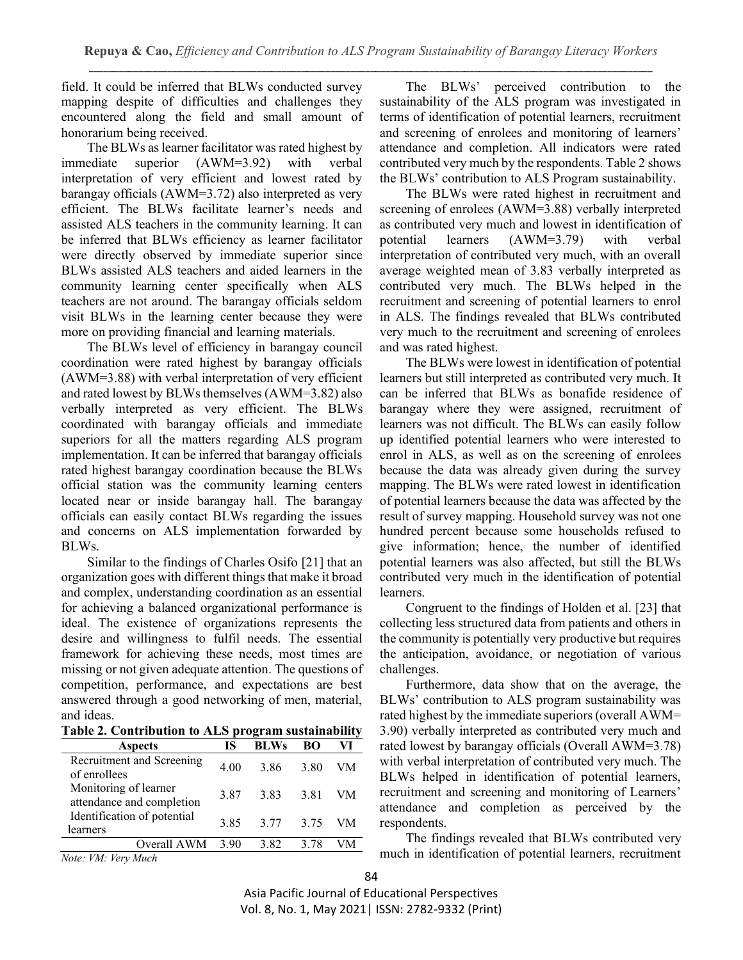field. It could be inferred that BLWs conducted survey mapping despite of difficulties and challenges they encountered along the field and small amount of honorarium being received.

The BLWs as learner facilitator was rated highest by immediate superior (AWM=3.92) with verbal interpretation of very efficient and lowest rated by barangay officials (AWM=3.72) also interpreted as very efficient. The BLWs facilitate learner's needs and assisted ALS teachers in the community learning. It can be inferred that BLWs efficiency as learner facilitator were directly observed by immediate superior since BLWs assisted ALS teachers and aided learners in the community learning center specifically when ALS teachers are not around. The barangay officials seldom visit BLWs in the learning center because they were more on providing financial and learning materials.

The BLWs level of efficiency in barangay council coordination were rated highest by barangay officials (AWM=3.88) with verbal interpretation of very efficient and rated lowest by BLWs themselves (AWM=3.82) also verbally interpreted as very efficient. The BLWs coordinated with barangay officials and immediate superiors for all the matters regarding ALS program implementation. It can be inferred that barangay officials rated highest barangay coordination because the BLWs official station was the community learning centers located near or inside barangay hall. The barangay officials can easily contact BLWs regarding the issues and concerns on ALS implementation forwarded by BLWs.

Similar to the findings of Charles Osifo [21] that an organization goes with different things that make it broad and complex, understanding coordination as an essential for achieving a balanced organizational performance is ideal. The existence of organizations represents the desire and willingness to fulfil needs. The essential framework for achieving these needs, most times are missing or not given adequate attention. The questions of competition, performance, and expectations are best answered through a good networking of men, material, and ideas.

**Table 2. Contribution to ALS program sustainability**

| <b>Aspects</b>                                          | IS   | <b>BLWs</b> | BO   | VI |
|---------------------------------------------------------|------|-------------|------|----|
| Recruitment and Screening<br>of enrollees               | 4.00 | 386         | 3.80 | VM |
| Monitoring of learner<br>attendance and completion      | 3.87 | 383         | 3.81 | VM |
| Identification of potential<br>learners                 | 3.85 | 3.77        | 3.75 | VM |
| Overall AWM                                             | 3.90 | 3.82        | 3.78 |    |
| $\mathbf{v}$<br>$\cdots$<br><b>TTLF</b><br>$\mathbf{r}$ |      |             |      |    |

The BLWs' perceived contribution to the sustainability of the ALS program was investigated in terms of identification of potential learners, recruitment and screening of enrolees and monitoring of learners' attendance and completion. All indicators were rated contributed very much by the respondents. Table 2 shows the BLWs' contribution to ALS Program sustainability.

The BLWs were rated highest in recruitment and screening of enrolees (AWM=3.88) verbally interpreted as contributed very much and lowest in identification of potential learners (AWM=3.79) with verbal interpretation of contributed very much, with an overall average weighted mean of 3.83 verbally interpreted as contributed very much. The BLWs helped in the recruitment and screening of potential learners to enrol in ALS. The findings revealed that BLWs contributed very much to the recruitment and screening of enrolees and was rated highest.

The BLWs were lowest in identification of potential learners but still interpreted as contributed very much. It can be inferred that BLWs as bonafide residence of barangay where they were assigned, recruitment of learners was not difficult. The BLWs can easily follow up identified potential learners who were interested to enrol in ALS, as well as on the screening of enrolees because the data was already given during the survey mapping. The BLWs were rated lowest in identification of potential learners because the data was affected by the result of survey mapping. Household survey was not one hundred percent because some households refused to give information; hence, the number of identified potential learners was also affected, but still the BLWs contributed very much in the identification of potential learners.

Congruent to the findings of Holden et al. [23] that collecting less structured data from patients and others in the community is potentially very productive but requires the anticipation, avoidance, or negotiation of various challenges.

Furthermore, data show that on the average, the BLWs' contribution to ALS program sustainability was rated highest by the immediate superiors (overall AWM= 3.90) verbally interpreted as contributed very much and rated lowest by barangay officials (Overall AWM=3.78) with verbal interpretation of contributed very much. The BLWs helped in identification of potential learners, recruitment and screening and monitoring of Learners' attendance and completion as perceived by the respondents.

The findings revealed that BLWs contributed very much in identification of potential learners, recruitment

*Note: VM: Very Much*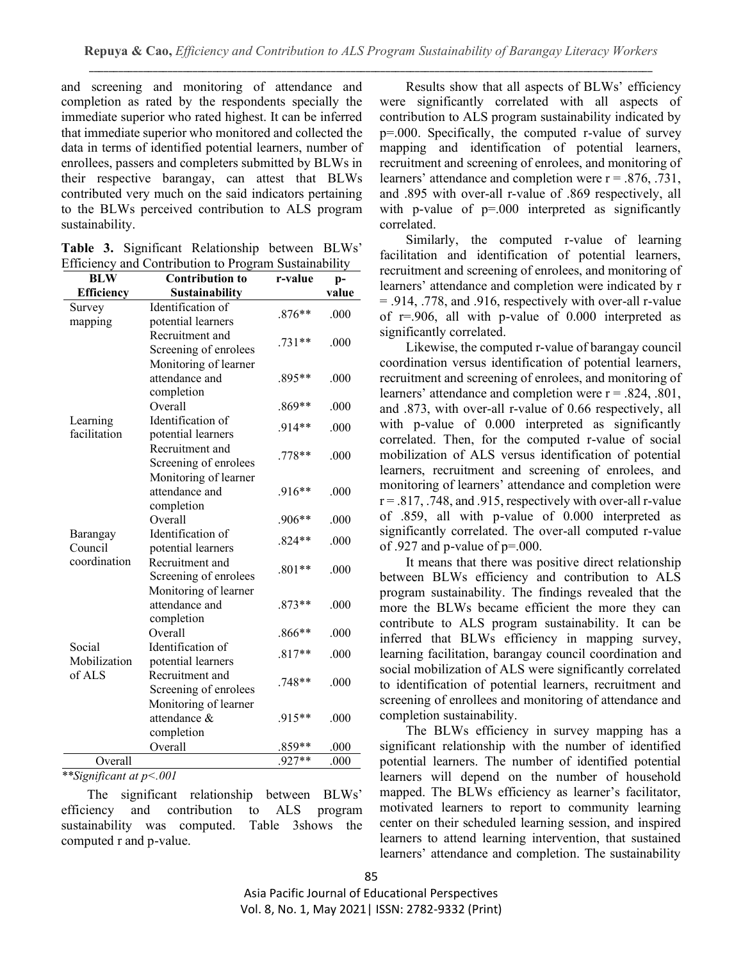and screening and monitoring of attendance and completion as rated by the respondents specially the immediate superior who rated highest. It can be inferred that immediate superior who monitored and collected the data in terms of identified potential learners, number of enrollees, passers and completers submitted by BLWs in their respective barangay, can attest that BLWs contributed very much on the said indicators pertaining to the BLWs perceived contribution to ALS program sustainability.

|  | Table 3. Significant Relationship between BLWs'       |  |
|--|-------------------------------------------------------|--|
|  | Efficiency and Contribution to Program Sustainability |  |

| <b>BLW</b>        | <b>Contribution to</b> | r-value  | $p-$  |
|-------------------|------------------------|----------|-------|
| <b>Efficiency</b> | <b>Sustainability</b>  |          | value |
| Survey            | Identification of      | $.876**$ | .000  |
| mapping           | potential learners     |          |       |
|                   | Recruitment and        | $.731**$ | .000  |
|                   | Screening of enrolees  |          |       |
|                   | Monitoring of learner  |          |       |
|                   | attendance and         | .895**   | .000  |
|                   | completion             |          |       |
|                   | Overall                | $.869**$ | .000  |
| Learning          | Identification of      | $.914**$ | .000  |
| facilitation      | potential learners     |          |       |
|                   | Recruitment and        | .778**   | .000  |
|                   | Screening of enrolees  |          |       |
|                   | Monitoring of learner  |          |       |
|                   | attendance and         | .916**   | .000  |
|                   | completion             |          |       |
|                   | Overall                | $.906**$ | .000  |
| Barangay          | Identification of      | $.824**$ | .000  |
| Council           | potential learners     |          |       |
| coordination      | Recruitment and        | $.801**$ | .000  |
|                   | Screening of enrolees  |          |       |
|                   | Monitoring of learner  |          |       |
|                   | attendance and         | $.873**$ | .000  |
|                   | completion             |          |       |
|                   | Overall                | $.866**$ | .000  |
| Social            | Identification of      | $.817**$ | .000  |
| Mobilization      | potential learners     |          |       |
| of ALS            | Recruitment and        | $.748**$ | .000  |
|                   | Screening of enrolees  |          |       |
|                   | Monitoring of learner  |          |       |
|                   | attendance &           | .915**   | .000  |
|                   | completion             |          |       |
|                   | Overall                | $.859**$ | .000  |
| Overall           |                        | .927**   | .000  |

*\*\*Significant at p<.001*

The significant relationship between BLWs' efficiency and contribution to ALS program sustainability was computed. Table 3shows the computed r and p-value.

Results show that all aspects of BLWs' efficiency were significantly correlated with all aspects of contribution to ALS program sustainability indicated by p=.000. Specifically, the computed r-value of survey mapping and identification of potential learners, recruitment and screening of enrolees, and monitoring of learners' attendance and completion were  $r = .876, .731,$ and .895 with over-all r-value of .869 respectively, all with p-value of  $p=0.000$  interpreted as significantly correlated.

Similarly, the computed r-value of learning facilitation and identification of potential learners, recruitment and screening of enrolees, and monitoring of learners' attendance and completion were indicated by r = .914, .778, and .916, respectively with over-all r-value of r=.906, all with p-value of 0.000 interpreted as significantly correlated.

Likewise, the computed r-value of barangay council coordination versus identification of potential learners, recruitment and screening of enrolees, and monitoring of learners' attendance and completion were  $r = .824, .801$ , and .873, with over-all r-value of 0.66 respectively, all with p-value of 0.000 interpreted as significantly correlated. Then, for the computed r-value of social mobilization of ALS versus identification of potential learners, recruitment and screening of enrolees, and monitoring of learners' attendance and completion were  $r = .817, .748, and .915, respectively with over-all r-value$ of .859, all with p-value of 0.000 interpreted as significantly correlated. The over-all computed r-value of .927 and p-value of p=.000.

It means that there was positive direct relationship between BLWs efficiency and contribution to ALS program sustainability. The findings revealed that the more the BLWs became efficient the more they can contribute to ALS program sustainability. It can be inferred that BLWs efficiency in mapping survey, learning facilitation, barangay council coordination and social mobilization of ALS were significantly correlated to identification of potential learners, recruitment and screening of enrollees and monitoring of attendance and completion sustainability.

The BLWs efficiency in survey mapping has a significant relationship with the number of identified potential learners. The number of identified potential learners will depend on the number of household mapped. The BLWs efficiency as learner's facilitator, motivated learners to report to community learning center on their scheduled learning session, and inspired learners to attend learning intervention, that sustained learners' attendance and completion. The sustainability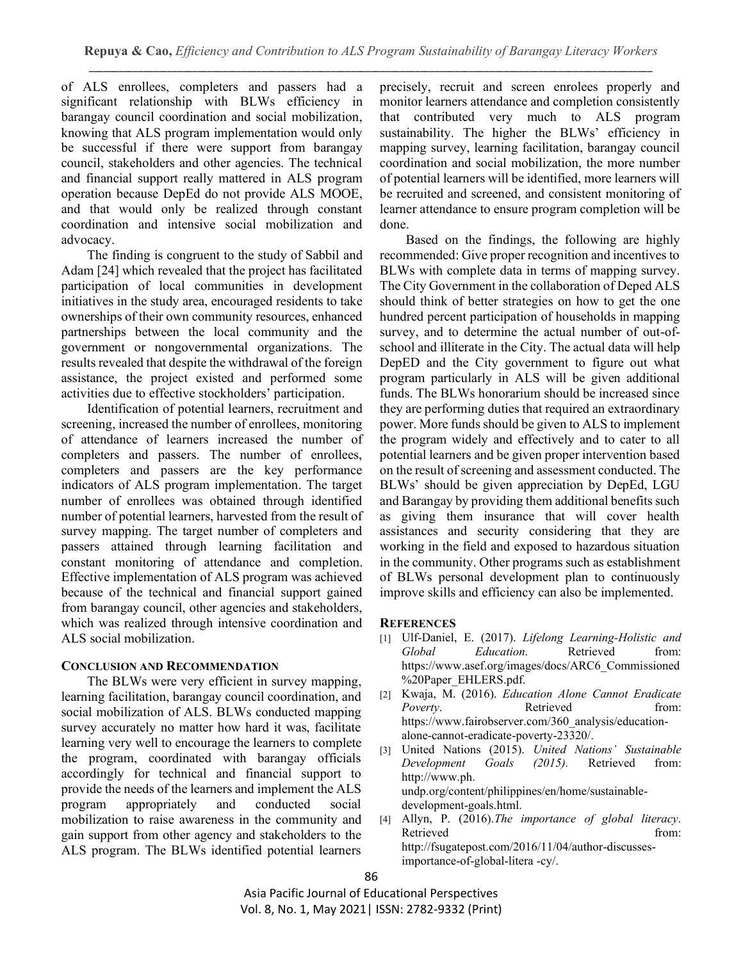of ALS enrollees, completers and passers had a significant relationship with BLWs efficiency in barangay council coordination and social mobilization, knowing that ALS program implementation would only be successful if there were support from barangay council, stakeholders and other agencies. The technical and financial support really mattered in ALS program operation because DepEd do not provide ALS MOOE, and that would only be realized through constant coordination and intensive social mobilization and advocacy.

The finding is congruent to the study of Sabbil and Adam [24] which revealed that the project has facilitated participation of local communities in development initiatives in the study area, encouraged residents to take ownerships of their own community resources, enhanced partnerships between the local community and the government or nongovernmental organizations. The results revealed that despite the withdrawal of the foreign assistance, the project existed and performed some activities due to effective stockholders' participation.

Identification of potential learners, recruitment and screening, increased the number of enrollees, monitoring of attendance of learners increased the number of completers and passers. The number of enrollees, completers and passers are the key performance indicators of ALS program implementation. The target number of enrollees was obtained through identified number of potential learners, harvested from the result of survey mapping. The target number of completers and passers attained through learning facilitation and constant monitoring of attendance and completion. Effective implementation of ALS program was achieved because of the technical and financial support gained from barangay council, other agencies and stakeholders, which was realized through intensive coordination and ALS social mobilization.

# **CONCLUSION AND RECOMMENDATION**

The BLWs were very efficient in survey mapping, learning facilitation, barangay council coordination, and social mobilization of ALS. BLWs conducted mapping survey accurately no matter how hard it was, facilitate learning very well to encourage the learners to complete the program, coordinated with barangay officials accordingly for technical and financial support to provide the needs of the learners and implement the ALS program appropriately and conducted social mobilization to raise awareness in the community and gain support from other agency and stakeholders to the ALS program. The BLWs identified potential learners

precisely, recruit and screen enrolees properly and monitor learners attendance and completion consistently that contributed very much to ALS program sustainability. The higher the BLWs' efficiency in mapping survey, learning facilitation, barangay council coordination and social mobilization, the more number of potential learners will be identified, more learners will be recruited and screened, and consistent monitoring of learner attendance to ensure program completion will be done.

Based on the findings, the following are highly recommended: Give proper recognition and incentives to BLWs with complete data in terms of mapping survey. The City Government in the collaboration of Deped ALS should think of better strategies on how to get the one hundred percent participation of households in mapping survey, and to determine the actual number of out-ofschool and illiterate in the City. The actual data will help DepED and the City government to figure out what program particularly in ALS will be given additional funds. The BLWs honorarium should be increased since they are performing duties that required an extraordinary power. More funds should be given to ALS to implement the program widely and effectively and to cater to all potential learners and be given proper intervention based on the result of screening and assessment conducted. The BLWs' should be given appreciation by DepEd, LGU and Barangay by providing them additional benefits such as giving them insurance that will cover health assistances and security considering that they are working in the field and exposed to hazardous situation in the community. Other programs such as establishment of BLWs personal development plan to continuously improve skills and efficiency can also be implemented.

# **REFERENCES**

- [1] Ulf-Daniel, E. (2017). *Lifelong Learning-Holistic and Global Education*. Retrieved from: [https://www.asef.org/images/docs/ARC6\\_Commissioned](https://www.asef.org/images/docs/ARC6_Commissioned) %20Paper\_EHLERS.pdf.
- [2] Kwaja, M. (2016). *Education Alone Cannot Eradicate Poverty*. Retrieved from: [https://www.fairobserver.com/360\\_analysis/education](https://www.fairobserver.com/360_analysis/education-alone-cannot-eradicate-poverty-23320/)[alone-cannot-eradicate-poverty-23320/.](https://www.fairobserver.com/360_analysis/education-alone-cannot-eradicate-poverty-23320/)
- [3] United Nations (2015). *United Nations' Sustainable Development Goals (2015).* Retrieved from: http://www.ph. undp.org/content/philippines/en/home/sustainabledevelopment-goals.html.
- [4] Allyn, P. (2016).*The importance of global literacy*. Retrieved from: [http://fsugatepost.com/2016/11/04/author-discusses](http://fsugatepost.com/2016/11/04/author-discusses-importance-of-global-litera%20-cy/)[importance-of-global-litera -cy/.](http://fsugatepost.com/2016/11/04/author-discusses-importance-of-global-litera%20-cy/)